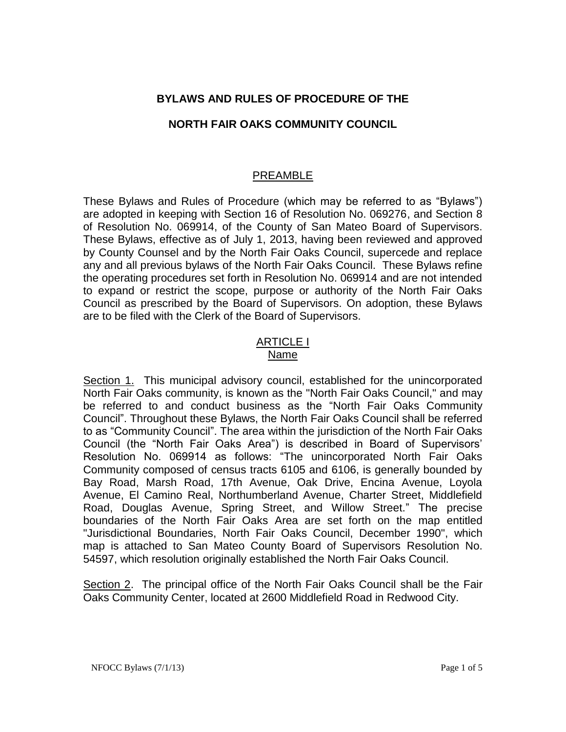# **BYLAWS AND RULES OF PROCEDURE OF THE**

## **NORTH FAIR OAKS COMMUNITY COUNCIL**

# PREAMBLE

These Bylaws and Rules of Procedure (which may be referred to as "Bylaws") are adopted in keeping with Section 16 of Resolution No. 069276, and Section 8 of Resolution No. 069914, of the County of San Mateo Board of Supervisors. These Bylaws, effective as of July 1, 2013, having been reviewed and approved by County Counsel and by the North Fair Oaks Council, supercede and replace any and all previous bylaws of the North Fair Oaks Council. These Bylaws refine the operating procedures set forth in Resolution No. 069914 and are not intended to expand or restrict the scope, purpose or authority of the North Fair Oaks Council as prescribed by the Board of Supervisors. On adoption, these Bylaws are to be filed with the Clerk of the Board of Supervisors.

### ARTICLE I Name

Section 1. This municipal advisory council, established for the unincorporated North Fair Oaks community, is known as the "North Fair Oaks Council," and may be referred to and conduct business as the "North Fair Oaks Community Council". Throughout these Bylaws, the North Fair Oaks Council shall be referred to as "Community Council". The area within the jurisdiction of the North Fair Oaks Council (the "North Fair Oaks Area") is described in Board of Supervisors' Resolution No. 069914 as follows: "The unincorporated North Fair Oaks Community composed of census tracts 6105 and 6106, is generally bounded by Bay Road, Marsh Road, 17th Avenue, Oak Drive, Encina Avenue, Loyola Avenue, El Camino Real, Northumberland Avenue, Charter Street, Middlefield Road, Douglas Avenue, Spring Street, and Willow Street." The precise boundaries of the North Fair Oaks Area are set forth on the map entitled "Jurisdictional Boundaries, North Fair Oaks Council, December 1990", which map is attached to San Mateo County Board of Supervisors Resolution No. 54597, which resolution originally established the North Fair Oaks Council.

Section 2. The principal office of the North Fair Oaks Council shall be the Fair Oaks Community Center, located at 2600 Middlefield Road in Redwood City.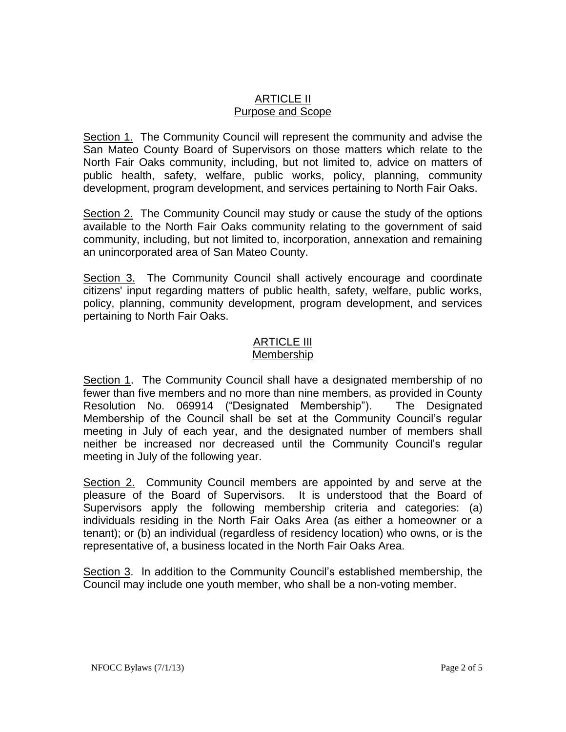# ARTICLE II Purpose and Scope

Section 1. The Community Council will represent the community and advise the San Mateo County Board of Supervisors on those matters which relate to the North Fair Oaks community, including, but not limited to, advice on matters of public health, safety, welfare, public works, policy, planning, community development, program development, and services pertaining to North Fair Oaks.

Section 2. The Community Council may study or cause the study of the options available to the North Fair Oaks community relating to the government of said community, including, but not limited to, incorporation, annexation and remaining an unincorporated area of San Mateo County.

Section 3. The Community Council shall actively encourage and coordinate citizens' input regarding matters of public health, safety, welfare, public works, policy, planning, community development, program development, and services pertaining to North Fair Oaks.

#### ARTICLE III Membership

Section 1. The Community Council shall have a designated membership of no fewer than five members and no more than nine members, as provided in County Resolution No. 069914 ("Designated Membership"). The Designated Membership of the Council shall be set at the Community Council's regular meeting in July of each year, and the designated number of members shall neither be increased nor decreased until the Community Council's regular meeting in July of the following year.

Section 2. Community Council members are appointed by and serve at the pleasure of the Board of Supervisors. It is understood that the Board of Supervisors apply the following membership criteria and categories: (a) individuals residing in the North Fair Oaks Area (as either a homeowner or a tenant); or (b) an individual (regardless of residency location) who owns, or is the representative of, a business located in the North Fair Oaks Area.

Section 3. In addition to the Community Council's established membership, the Council may include one youth member, who shall be a non-voting member.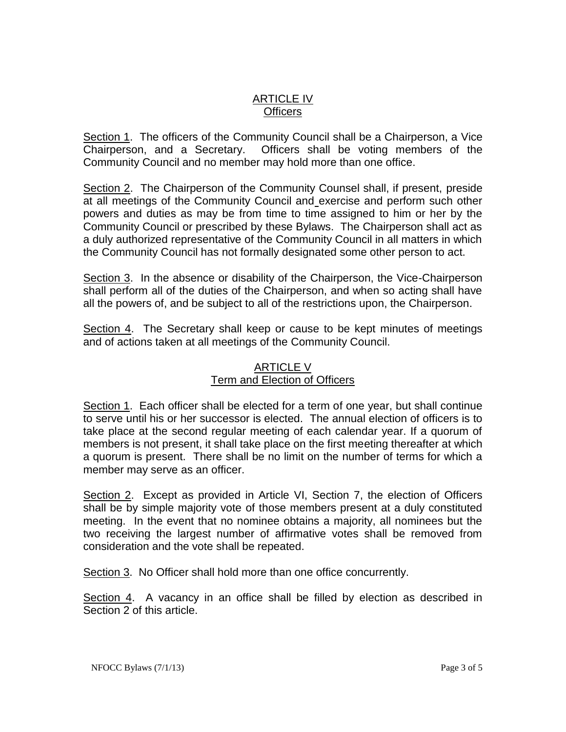# ARTICLE IV **Officers**

Section 1. The officers of the Community Council shall be a Chairperson, a Vice Chairperson, and a Secretary. Officers shall be voting members of the Community Council and no member may hold more than one office.

Section 2. The Chairperson of the Community Counsel shall, if present, preside at all meetings of the Community Council and exercise and perform such other powers and duties as may be from time to time assigned to him or her by the Community Council or prescribed by these Bylaws. The Chairperson shall act as a duly authorized representative of the Community Council in all matters in which the Community Council has not formally designated some other person to act.

Section 3. In the absence or disability of the Chairperson, the Vice-Chairperson shall perform all of the duties of the Chairperson, and when so acting shall have all the powers of, and be subject to all of the restrictions upon, the Chairperson.

Section 4. The Secretary shall keep or cause to be kept minutes of meetings and of actions taken at all meetings of the Community Council.

## ARTICLE V Term and Election of Officers

Section 1. Each officer shall be elected for a term of one year, but shall continue to serve until his or her successor is elected. The annual election of officers is to take place at the second regular meeting of each calendar year. If a quorum of members is not present, it shall take place on the first meeting thereafter at which a quorum is present. There shall be no limit on the number of terms for which a member may serve as an officer.

Section 2. Except as provided in Article VI, Section 7, the election of Officers shall be by simple majority vote of those members present at a duly constituted meeting. In the event that no nominee obtains a majority, all nominees but the two receiving the largest number of affirmative votes shall be removed from consideration and the vote shall be repeated.

Section 3. No Officer shall hold more than one office concurrently.

Section 4. A vacancy in an office shall be filled by election as described in Section 2 of this article.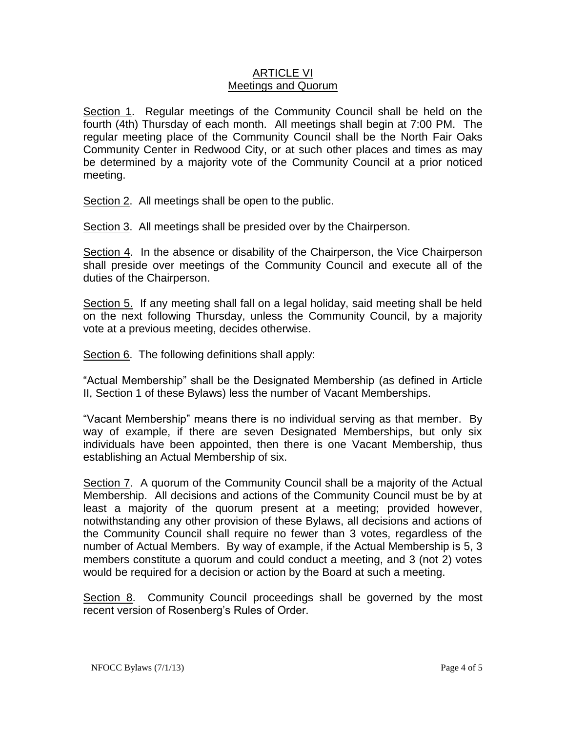### ARTICLE VI Meetings and Quorum

Section 1. Regular meetings of the Community Council shall be held on the fourth (4th) Thursday of each month. All meetings shall begin at 7:00 PM. The regular meeting place of the Community Council shall be the North Fair Oaks Community Center in Redwood City, or at such other places and times as may be determined by a majority vote of the Community Council at a prior noticed meeting.

Section 2. All meetings shall be open to the public.

Section 3. All meetings shall be presided over by the Chairperson.

Section 4. In the absence or disability of the Chairperson, the Vice Chairperson shall preside over meetings of the Community Council and execute all of the duties of the Chairperson.

Section 5. If any meeting shall fall on a legal holiday, said meeting shall be held on the next following Thursday, unless the Community Council, by a majority vote at a previous meeting, decides otherwise.

Section 6. The following definitions shall apply:

"Actual Membership" shall be the Designated Membership (as defined in Article II, Section 1 of these Bylaws) less the number of Vacant Memberships.

"Vacant Membership" means there is no individual serving as that member. By way of example, if there are seven Designated Memberships, but only six individuals have been appointed, then there is one Vacant Membership, thus establishing an Actual Membership of six.

Section 7. A quorum of the Community Council shall be a majority of the Actual Membership. All decisions and actions of the Community Council must be by at least a majority of the quorum present at a meeting; provided however, notwithstanding any other provision of these Bylaws, all decisions and actions of the Community Council shall require no fewer than 3 votes, regardless of the number of Actual Members. By way of example, if the Actual Membership is 5, 3 members constitute a quorum and could conduct a meeting, and 3 (not 2) votes would be required for a decision or action by the Board at such a meeting.

Section 8. Community Council proceedings shall be governed by the most recent version of Rosenberg's Rules of Order.